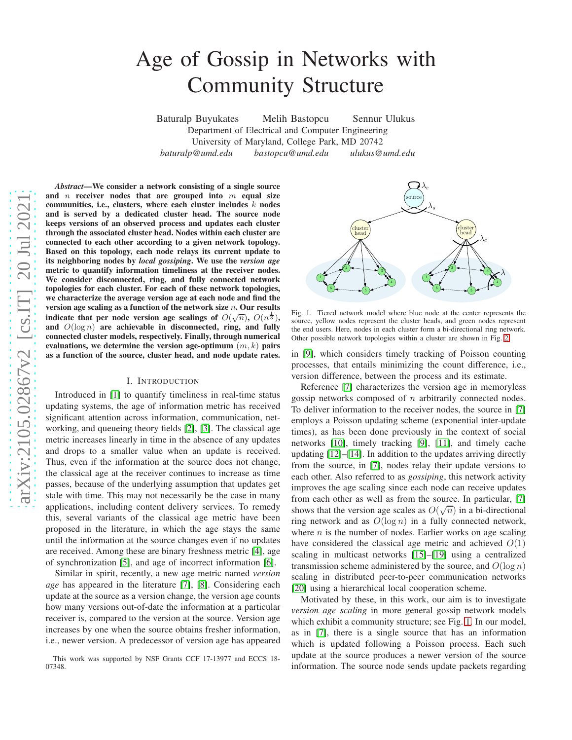# Age of Gossip in Networks with Community Structure

Baturalp Buyukates Melih Bastopcu Sennur Ulukus Department of Electrical and Computer Engineering University of Maryland, College Park, MD 20742 *baturalp@umd.edu bastopcu@umd.edu ulukus@umd.edu*

*Abstract*—We consider a network consisting of a single source and  $n$  receiver nodes that are grouped into  $m$  equal size communities, i.e., clusters, where each cluster includes  $k$  nodes and is served by a dedicated cluster head. The source node keeps versions of an observed process and updates each cluster through the associated cluster head. Nodes within each cluster are connected to each other according to a given network topology. Based on this topology, each node relays its current update t o its neighboring nodes by *local gossiping*. We use the *version age* metric to quantify information timeliness at the receiver nodes. We consider disconnected, ring, and fully connected networ k topologies for each cluster. For each of these network topologies, we characterize the average version age at each node and find the version age scaling as a function of the network size  $n$ . Our results indicate that per node version age scalings of  $O(\sqrt{n})$ ,  $O(n^{\frac{1}{3}})$ , and  $O(\log n)$  are achievable in disconnected, ring, and fully connected cluster models, respectively. Finally, through numerical evaluations, we determine the version age-optimum  $(m, k)$  pairs as a function of the source, cluster head, and node update rates.

#### I. INTRODUCTION

Introduced in [\[1\]](#page-4-0) to quantify timeliness in real-time statu s updating systems, the age of information metric has receive d significant attention across information, communication, networking, and queueing theory fields [\[2\]](#page-4-1), [\[3\]](#page-4-2). The classical age metric increases linearly in time in the absence of any updates and drops to a smaller value when an update is received. Thus, even if the information at the source does not change, the classical age at the receiver continues to increase as time passes, because of the underlying assumption that updates get stale with time. This may not necessarily be the case in many applications, including content delivery services. To remedy this, several variants of the classical age metric have been proposed in the literature, in which the age stays the same until the information at the source changes even if no update s are received. Among these are binary freshness metric [\[4\]](#page-4-3), age of synchronization [\[5\]](#page-4-4), and age of incorrect information [\[6\]](#page-4-5).

Similar in spirit, recently, a new age metric named *version age* has appeared in the literature [\[7\]](#page-4-6), [\[8\]](#page-4-7). Considering each update at the source as a version change, the version age counts how many versions out-of-date the information at a particular receiver is, compared to the version at the source. Version age increases by one when the source obtains fresher information, i.e., newer version. A predecessor of version age has appeared



<span id="page-0-0"></span>Fig. 1. Tiered network model where blue node at the center represents the source, yellow nodes represent the cluster heads, and green nodes represent the end users. Here, nodes in each cluster form a bi-directional ring network. Other possible network topologies within a cluster are shown in Fig. [2.](#page-1-0)

in [\[9\]](#page-4-8), which considers timely tracking of Poisson counting processes, that entails minimizing the count difference, i.e., version difference, between the process and its estimate.

Reference [\[7\]](#page-4-6) characterizes the version age in memoryless gossip networks composed of  $n$  arbitrarily connected nodes. To deliver information to the receiver nodes, the source in [\[7\]](#page-4-6) employs a Poisson updating scheme (exponential inter-update times), as has been done previously in the context of social networks [\[10\]](#page-4-9), timely tracking [\[9\]](#page-4-8), [\[11\]](#page-4-10), and timely cache updating [\[12\]](#page-4-11)–[\[14\]](#page-4-12). In addition to the updates arriving directly from the source, in [\[7\]](#page-4-6), nodes relay their update versions to each other. Also referred to as *gossiping*, this network activity improves the age scaling since each node can receive updates from each other as well as from the source. In particular, [\[7\]](#page-4-6) shows that the version age scales as  $O(\sqrt{n})$  in a bi-directional ring network and as  $O(\log n)$  in a fully connected network, where  $n$  is the number of nodes. Earlier works on age scaling have considered the classical age metric and achieved  $O(1)$ scaling in multicast networks [\[15\]](#page-4-13)–[\[19\]](#page-4-14) using a centralize d transmission scheme administered by the source, and  $O(\log n)$ scaling in distributed peer-to-peer communication networks [\[20\]](#page-4-15) using a hierarchical local cooperation scheme.

Motivated by these, in this work, our aim is to investigate *version age scaling* in more general gossip network models which exhibit a community structure; see Fig. [1.](#page-0-0) In our model , as in [\[7\]](#page-4-6), there is a single source that has an information which is updated following a Poisson process. Each such update at the source produces a newer version of the source information. The source node sends update packets regardin g

This work was supported by NSF Grants CCF 17-13977 and ECCS 18 - 07348.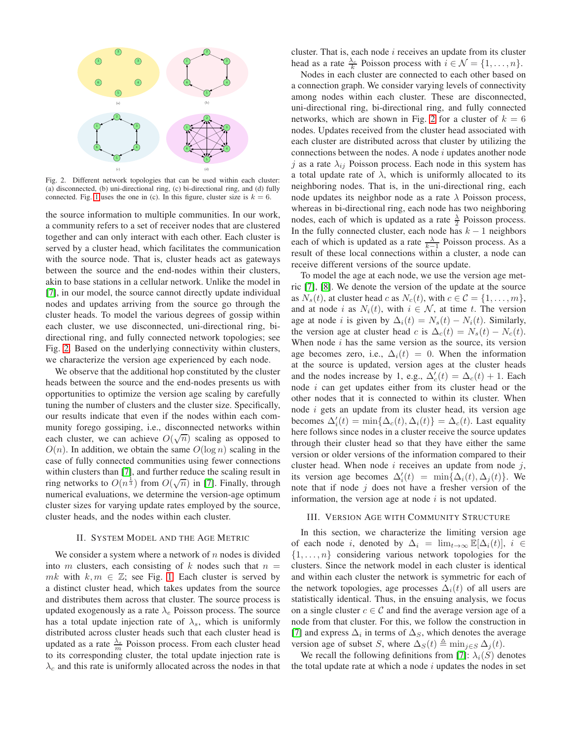

<span id="page-1-0"></span>Fig. 2. Different network topologies that can be used within each cluster: (a) disconnected, (b) uni-directional ring, (c) bi-directional ring, and (d) fully connected. Fig. [1](#page-0-0) uses the one in (c). In this figure, cluster size is  $k = 6$ .

the source information to multiple communities. In our work, a community refers to a set of receiver nodes that are clustered together and can only interact with each other. Each cluster is served by a cluster head, which facilitates the communication with the source node. That is, cluster heads act as gateways between the source and the end-nodes within their clusters, akin to base stations in a cellular network. Unlike the model in [\[7\]](#page-4-6), in our model, the source cannot directly update individual nodes and updates arriving from the source go through the cluster heads. To model the various degrees of gossip within each cluster, we use disconnected, uni-directional ring, bidirectional ring, and fully connected network topologies; see Fig. [2.](#page-1-0) Based on the underlying connectivity within clusters, we characterize the version age experienced by each node.

We observe that the additional hop constituted by the cluster heads between the source and the end-nodes presents us with opportunities to optimize the version age scaling by carefully tuning the number of clusters and the cluster size. Specifically, our results indicate that even if the nodes within each community forego gossiping, i.e., disconnected networks within each cluster, we can achieve  $O(\sqrt{n})$  scaling as opposed to  $O(n)$ . In addition, we obtain the same  $O(\log n)$  scaling in the case of fully connected communities using fewer connections within clusters than [\[7\]](#page-4-6), and further reduce the scaling result in ring networks to  $O(n^{\frac{1}{3}})$  from  $O(\sqrt{n})$  in [\[7\]](#page-4-6). Finally, through numerical evaluations, we determine the version-age optimum cluster sizes for varying update rates employed by the source, cluster heads, and the nodes within each cluster.

## II. SYSTEM MODEL AND THE AGE METRIC

We consider a system where a network of  $n$  nodes is divided into m clusters, each consisting of k nodes such that  $n =$ mk with  $k, m \in \mathbb{Z}$ ; see Fig. [1.](#page-0-0) Each cluster is served by a distinct cluster head, which takes updates from the source and distributes them across that cluster. The source process is updated exogenously as a rate  $\lambda_e$  Poisson process. The source has a total update injection rate of  $\lambda_s$ , which is uniformly distributed across cluster heads such that each cluster head is updated as a rate  $\frac{\lambda_s}{m}$  Poisson process. From each cluster head to its corresponding cluster, the total update injection rate is  $\lambda_c$  and this rate is uniformly allocated across the nodes in that

cluster. That is, each node  $i$  receives an update from its cluster head as a rate  $\frac{\lambda_c}{k}$  Poisson process with  $i \in \mathcal{N} = \{1, \dots, n\}.$ 

Nodes in each cluster are connected to each other based on a connection graph. We consider varying levels of connectivity among nodes within each cluster. These are disconnected, uni-directional ring, bi-directional ring, and fully connected networks, which are shown in Fig. [2](#page-1-0) for a cluster of  $k = 6$ nodes. Updates received from the cluster head associated with each cluster are distributed across that cluster by utilizing the connections between the nodes. A node  $i$  updates another node j as a rate  $\lambda_{ij}$  Poisson process. Each node in this system has a total update rate of  $\lambda$ , which is uniformly allocated to its neighboring nodes. That is, in the uni-directional ring, each node updates its neighbor node as a rate  $\lambda$  Poisson process, whereas in bi-directional ring, each node has two neighboring nodes, each of which is updated as a rate  $\frac{\lambda}{2}$  Poisson process. In the fully connected cluster, each node has  $k - 1$  neighbors each of which is updated as a rate  $\frac{\lambda}{k-1}$  Poisson process. As a result of these local connections within a cluster, a node can receive different versions of the source update.

To model the age at each node, we use the version age metric [\[7\]](#page-4-6), [\[8\]](#page-4-7). We denote the version of the update at the source as  $N_s(t)$ , at cluster head c as  $N_c(t)$ , with  $c \in \mathcal{C} = \{1, \ldots, m\}$ , and at node i as  $N_i(t)$ , with  $i \in \mathcal{N}$ , at time t. The version age at node *i* is given by  $\Delta_i(t) = N_s(t) - N_i(t)$ . Similarly, the version age at cluster head c is  $\Delta_c(t) = N_s(t) - N_c(t)$ . When node  $i$  has the same version as the source, its version age becomes zero, i.e.,  $\Delta_i(t) = 0$ . When the information at the source is updated, version ages at the cluster heads and the nodes increase by 1, e.g.,  $\Delta'_{c}(t) = \Delta_{c}(t) + 1$ . Each node  $i$  can get updates either from its cluster head or the other nodes that it is connected to within its cluster. When node i gets an update from its cluster head, its version age becomes  $\Delta'_i(t) = \min{\{\Delta_c(t), \Delta_i(t)\}} = \Delta_c(t)$ . Last equality here follows since nodes in a cluster receive the source updates through their cluster head so that they have either the same version or older versions of the information compared to their cluster head. When node  $i$  receives an update from node  $j$ , its version age becomes  $\Delta'_i(t) = \min{\{\Delta_i(t), \Delta_j(t)\}}$ . We note that if node  $j$  does not have a fresher version of the information, the version age at node  $i$  is not updated.

## <span id="page-1-1"></span>III. VERSION AGE WITH COMMUNITY STRUCTURE

In this section, we characterize the limiting version age of each node i, denoted by  $\Delta_i = \lim_{t \to \infty} \mathbb{E}[\Delta_i(t)], i \in$  $\{1, \ldots, n\}$  considering various network topologies for the clusters. Since the network model in each cluster is identical and within each cluster the network is symmetric for each of the network topologies, age processes  $\Delta_i(t)$  of all users are statistically identical. Thus, in the ensuing analysis, we focus on a single cluster  $c \in \mathcal{C}$  and find the average version age of a node from that cluster. For this, we follow the construction in [\[7\]](#page-4-6) and express  $\Delta_i$  in terms of  $\Delta_S$ , which denotes the average version age of subset S, where  $\Delta_S(t) \triangleq \min_{j \in S} \Delta_j(t)$ .

We recall the following definitions from [\[7\]](#page-4-6):  $\lambda_i(S)$  denotes the total update rate at which a node  $i$  updates the nodes in set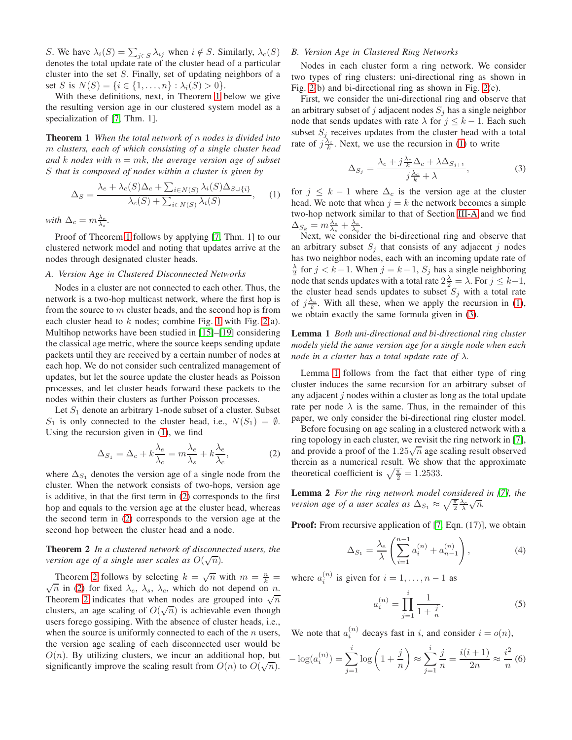S. We have  $\lambda_i(S) = \sum_{j \in S} \lambda_{ij}$  when  $i \notin S$ . Similarly,  $\lambda_c(S)$ denotes the total update rate of the cluster head of a particular cluster into the set S. Finally, set of updating neighbors of a set S is  $N(S) = \{i \in \{1, ..., n\} : \lambda_i(S) > 0\}.$ 

With these definitions, next, in Theorem [1](#page-2-0) below we give the resulting version age in our clustered system model as a specialization of [\[7,](#page-4-6) Thm. 1].

<span id="page-2-0"></span>Theorem 1 *When the total network of* n *nodes is divided into* m *clusters, each of which consisting of a single cluster head and* k *nodes* with  $n = mk$ , the average version age of subset S *that is composed of nodes within a cluster is given by*

$$
\Delta_S = \frac{\lambda_e + \lambda_c(S)\Delta_c + \sum_{i \in N(S)} \lambda_i(S)\Delta_{S \cup \{i\}}}{\lambda_c(S) + \sum_{i \in N(S)} \lambda_i(S)},
$$
 (1)

*with*  $\Delta_c = m \frac{\lambda_e}{\lambda_s}$ .

Proof of Theorem [1](#page-2-0) follows by applying [\[7,](#page-4-6) Thm. 1] to our clustered network model and noting that updates arrive at the nodes through designated cluster heads.

## <span id="page-2-4"></span>*A. Version Age in Clustered Disconnected Networks*

Nodes in a cluster are not connected to each other. Thus, the network is a two-hop multicast network, where the first hop is from the source to  $m$  cluster heads, and the second hop is from each cluster head to  $k$  nodes; combine Fig. [1](#page-0-0) with Fig. [2\(](#page-1-0)a). Multihop networks have been studied in [\[15\]](#page-4-13)–[\[19\]](#page-4-14) considering the classical age metric, where the source keeps sending update packets until they are received by a certain number of nodes at each hop. We do not consider such centralized management of updates, but let the source update the cluster heads as Poisson processes, and let cluster heads forward these packets to the nodes within their clusters as further Poisson processes.

Let  $S_1$  denote an arbitrary 1-node subset of a cluster. Subset  $S_1$  is only connected to the cluster head, i.e.,  $N(S_1) = \emptyset$ . Using the recursion given in [\(1\)](#page-2-1), we find

$$
\Delta_{S_1} = \Delta_c + k \frac{\lambda_e}{\lambda_c} = m \frac{\lambda_e}{\lambda_s} + k \frac{\lambda_e}{\lambda_c},\tag{2}
$$

where  $\Delta_{S_1}$  denotes the version age of a single node from the cluster. When the network consists of two-hops, version age is additive, in that the first term in [\(2\)](#page-2-2) corresponds to the first hop and equals to the version age at the cluster head, whereas the second term in [\(2\)](#page-2-2) corresponds to the version age at the second hop between the cluster head and a node.

## <span id="page-2-3"></span>Theorem 2 *In a clustered network of disconnected users, the version age of a single user scales as*  $O(\sqrt{n})$ .

Theorem [2](#page-2-3) follows by selecting  $k = \sqrt{n}$  with  $m = \frac{n}{k} = \sqrt{n}$  in (2) for fixed  $\lambda = \lambda$  which do not depend on n  $\sqrt{n}$  in [\(2\)](#page-2-2) for fixed  $\lambda_e$ ,  $\lambda_s$ ,  $\lambda_c$ , which do not depend on n. Theorem [2](#page-2-3) indicates that when nodes are grouped into  $\sqrt{n}$ clusters, an age scaling of  $O(\sqrt{n})$  is achievable even though users forego gossiping. With the absence of cluster heads, i.e., when the source is uniformly connected to each of the  $n$  users, the version age scaling of each disconnected user would be  $O(n)$ . By utilizing clusters, we incur an additional hop, but significantly improve the scaling result from  $O(n)$  to  $O(\sqrt{n})$ .

## *B. Version Age in Clustered Ring Networks*

Nodes in each cluster form a ring network. We consider two types of ring clusters: uni-directional ring as shown in Fig. [2\(](#page-1-0)b) and bi-directional ring as shown in Fig. [2\(](#page-1-0)c).

First, we consider the uni-directional ring and observe that an arbitrary subset of j adjacent nodes  $S_i$  has a single neighbor node that sends updates with rate  $\lambda$  for  $j \leq k - 1$ . Each such subset  $S_j$  receives updates from the cluster head with a total rate of  $j\frac{\lambda_c}{k}$ . Next, we use the recursion in [\(1\)](#page-2-1) to write

<span id="page-2-5"></span>
$$
\Delta_{S_j} = \frac{\lambda_e + j\frac{\lambda_c}{k}\Delta_c + \lambda\Delta_{S_{j+1}}}{j\frac{\lambda_c}{k} + \lambda},\tag{3}
$$

<span id="page-2-1"></span>for  $j \leq k - 1$  where  $\Delta_c$  is the version age at the cluster head. We note that when  $j = k$  the network becomes a simple two-hop network similar to that of Section [III-A](#page-2-4) and we find  $\Delta_{S_k} = m \frac{\lambda_e}{\lambda_s} + \frac{\lambda_e}{\lambda_c}.$ 

Next, we consider the bi-directional ring and observe that an arbitrary subset  $S_i$  that consists of any adjacent j nodes has two neighbor nodes, each with an incoming update rate of  $\frac{\lambda}{2}$  for  $j < k-1$ . When  $j = k-1$ ,  $S_j$  has a single neighboring node that sends updates with a total rate  $2\frac{\lambda}{2} = \lambda$ . For  $j \leq k-1$ , the cluster head sends updates to subset  $S_j$  with a total rate of  $j\frac{\lambda_c}{k}$ . With all these, when we apply the recursion in [\(1\)](#page-2-1), we obtain exactly the same formula given in [\(3\)](#page-2-5).

<span id="page-2-6"></span>Lemma 1 *Both uni-directional and bi-directional ring cluster models yield the same version age for a single node when each node in a cluster has a total update rate of* λ*.*

Lemma [1](#page-2-6) follows from the fact that either type of ring cluster induces the same recursion for an arbitrary subset of any adjacent  $j$  nodes within a cluster as long as the total update rate per node  $\lambda$  is the same. Thus, in the remainder of this paper, we only consider the bi-directional ring cluster model.

<span id="page-2-2"></span>Before focusing on age scaling in a clustered network with a ring topology in each cluster, we revisit the ring network in [\[7\]](#page-4-6), and provide a proof of the  $1.25\sqrt{n}$  age scaling result observed therein as a numerical result. We show that the approximate theoretical coefficient is  $\sqrt{\frac{\pi}{2}} = 1.2533$ .

<span id="page-2-9"></span>Lemma 2 *For the ring network model considered in [\[7\]](#page-4-6), the version age of a user scales as*  $\Delta_{S_1} \approx \sqrt{\frac{\pi}{2}} \frac{\lambda_e}{\lambda} \sqrt{n}$ .

**Proof:** From recursive application of [\[7,](#page-4-6) Eqn. (17)], we obtain

$$
\Delta_{S_1} = \frac{\lambda_e}{\lambda} \left( \sum_{i=1}^{n-1} a_i^{(n)} + a_{n-1}^{(n)} \right), \tag{4}
$$

where  $a_i^{(n)}$  is given for  $i = 1, \dots, n - 1$  as

<span id="page-2-8"></span><span id="page-2-7"></span>
$$
a_i^{(n)} = \prod_{j=1}^i \frac{1}{1 + \frac{j}{n}}.\tag{5}
$$

We note that  $a_i^{(n)}$  decays fast in i, and consider  $i = o(n)$ ,

$$
-\log(a_i^{(n)}) = \sum_{j=1}^i \log\left(1 + \frac{j}{n}\right) \approx \sum_{j=1}^i \frac{j}{n} = \frac{i(i+1)}{2n} \approx \frac{i^2}{n} \tag{6}
$$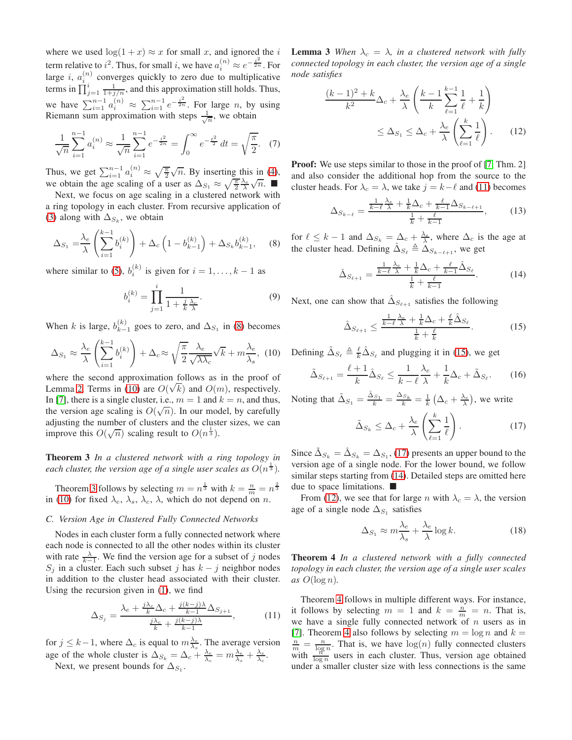where we used  $\log(1 + x) \approx x$  for small x, and ignored the i term relative to  $i^2$ . Thus, for small i, we have  $a_i^{(n)} \approx e^{-\frac{i^2}{2n}}$ . For large *i*,  $a_i^{(n)}$  $\binom{n}{i}$  converges quickly to zero due to multiplicative terms in  $\prod_{j=1}^{i} \frac{1}{1+j/n}$ , and this approximation still holds. Thus, we have  $\sum_{i=1}^{n-1} a_i^{(n)} \approx \sum_{i=1}^{n-1} e^{-\frac{i^2}{2n}}$ . For large *n*, by using Riemann sum approximation with steps  $\frac{1}{\sqrt{n}}$ , we obtain

$$
\frac{1}{\sqrt{n}}\sum_{i=1}^{n-1}a_i^{(n)} \approx \frac{1}{\sqrt{n}}\sum_{i=1}^{n-1}e^{-\frac{i^2}{2n}} = \int_0^\infty e^{-\frac{t^2}{2}}dt = \sqrt{\frac{\pi}{2}}.\tag{7}
$$

Thus, we get  $\sum_{i=1}^{n-1} a_i^{(n)} \approx \sqrt{\frac{\pi}{2}} \sqrt{n}$ . By inserting this in [\(4\)](#page-2-7), we obtain the age scaling of a user as  $\Delta_{S_1} \approx \sqrt{\frac{\pi}{2}} \frac{\lambda_e}{\lambda} \sqrt{n}$ .

Next, we focus on age scaling in a clustered network with a ring topology in each cluster. From recursive application of [\(3\)](#page-2-5) along with  $\Delta_{S_k}$ , we obtain

$$
\Delta_{S_1} = \frac{\lambda_e}{\lambda} \left( \sum_{i=1}^{k-1} b_i^{(k)} \right) + \Delta_c \left( 1 - b_{k-1}^{(k)} \right) + \Delta_{S_k} b_{k-1}^{(k)}, \quad (8)
$$

where similar to [\(5\)](#page-2-8),  $b_i^{(k)}$  is given for  $i = 1, ..., k - 1$  as

$$
b_i^{(k)} = \prod_{j=1}^i \frac{1}{1 + \frac{j}{k} \frac{\lambda_c}{\lambda}}.\tag{9}
$$

When k is large,  $b_{k-}^{(k)}$  $\lambda_{k-1}^{(k)}$  goes to zero, and  $\Delta_{S_1}$  in [\(8\)](#page-3-0) becomes

$$
\Delta_{S_1} \approx \frac{\lambda_e}{\lambda} \left( \sum_{i=1}^{k-1} b_i^{(k)} \right) + \Delta_c \approx \sqrt{\frac{\pi}{2}} \frac{\lambda_e}{\sqrt{\lambda \lambda_c}} \sqrt{k} + m \frac{\lambda_e}{\lambda_s}, \tag{10}
$$

where the second approximation follows as in the proof of Lemma [2.](#page-2-9) Terms in [\(10\)](#page-3-1) are  $O(\sqrt{k})$  and  $O(m)$ , respectively. In [\[7\]](#page-4-6), there is a single cluster, i.e.,  $m = 1$  and  $k = n$ , and thus, the version age scaling is  $O(\sqrt{n})$ . In our model, by carefully adjusting the number of clusters and the cluster sizes, we can improve this  $O(\sqrt{n})$  scaling result to  $O(n^{\frac{1}{3}})$ .

<span id="page-3-2"></span>Theorem 3 *In a clustered network with a ring topology in* each cluster, the version age of a single user scales as  $O(n^{\frac{1}{3}})$ .

Theorem [3](#page-3-2) follows by selecting  $m = n^{\frac{1}{3}}$  with  $k = \frac{n}{m} = n^{\frac{2}{3}}$ in [\(10\)](#page-3-1) for fixed  $\lambda_e$ ,  $\lambda_s$ ,  $\lambda_c$ ,  $\lambda$ , which do not depend on n.

## *C. Version Age in Clustered Fully Connected Networks*

Nodes in each cluster form a fully connected network where each node is connected to all the other nodes within its cluster with rate  $\frac{\lambda}{k-1}$ . We find the version age for a subset of j nodes  $S_j$  in a cluster. Each such subset j has  $k - j$  neighbor nodes in addition to the cluster head associated with their cluster. Using the recursion given in [\(1\)](#page-2-1), we find

$$
\Delta_{S_j} = \frac{\lambda_e + \frac{j\lambda_c}{k}\Delta_c + \frac{j(k-j)\lambda}{k-1}\Delta_{S_{j+1}}}{\frac{j\lambda_c}{k} + \frac{j(k-j)\lambda}{k-1}},\tag{11}
$$

for  $j \leq k-1$ , where  $\Delta_c$  is equal to  $m_{\lambda_s}^{\lambda_e}$ . The average version age of the whole cluster is  $\Delta_{S_k} = \Delta_c + \frac{\lambda_e}{\lambda_c} = m \frac{\lambda_e}{\lambda_s} + \frac{\lambda_e}{\lambda_c}$ .

Next, we present bounds for  $\Delta_{S_1}$ .

**Lemma 3** When  $\lambda_c = \lambda$ , in a clustered network with fully *connected topology in each cluster, the version age of a single node satisfies*

<span id="page-3-7"></span>
$$
\frac{(k-1)^2 + k}{k^2} \Delta_c + \frac{\lambda_e}{\lambda} \left( \frac{k-1}{k} \sum_{\ell=1}^{k-1} \frac{1}{\ell} + \frac{1}{k} \right)
$$

$$
\leq \Delta_{S_1} \leq \Delta_c + \frac{\lambda_e}{\lambda} \left( \sum_{\ell=1}^k \frac{1}{\ell} \right). \tag{12}
$$

**Proof:** We use steps similar to those in the proof of [\[7,](#page-4-6) Thm. 2] and also consider the additional hop from the source to the cluster heads. For  $\lambda_c = \lambda$ , we take  $j = k - \ell$  and [\(11\)](#page-3-3) becomes

$$
\Delta_{S_{k-\ell}} = \frac{\frac{1}{k-\ell} \frac{\lambda_e}{\lambda} + \frac{1}{k} \Delta_c + \frac{\ell}{k-1} \Delta_{S_{k-\ell+1}}}{\frac{1}{k} + \frac{\ell}{k-1}},\tag{13}
$$

<span id="page-3-0"></span>for  $\ell \leq k-1$  and  $\Delta_{S_k} = \Delta_c + \frac{\lambda_e}{\lambda}$ , where  $\Delta_c$  is the age at the cluster head. Defining  $\hat{\Delta}_{S_{\ell}} \triangleq \hat{\Delta}_{S_{k-\ell+1}}$ , we get

<span id="page-3-6"></span>
$$
\hat{\Delta}_{S_{\ell+1}} = \frac{\frac{1}{k-\ell}\frac{\lambda_e}{\lambda} + \frac{1}{k}\Delta_c + \frac{\ell}{k-1}\hat{\Delta}_{S_{\ell}}}{\frac{1}{k} + \frac{\ell}{k-1}}.\tag{14}
$$

Next, one can show that  $\hat{\Delta}_{S_{\ell+1}}$  satisfies the following

<span id="page-3-4"></span>
$$
\hat{\Delta}_{S_{\ell+1}} \le \frac{\frac{1}{k-\ell} \frac{\lambda_e}{\lambda} + \frac{1}{k} \Delta_c + \frac{\ell}{k} \hat{\Delta}_{S_{\ell}}}{\frac{1}{k} + \frac{\ell}{k}}.
$$
 (15)

<span id="page-3-1"></span>Defining  $\tilde{\Delta}_{S_{\ell}} \triangleq \frac{\ell}{k} \hat{\Delta}_{S_{\ell}}$  and plugging it in [\(15\)](#page-3-4), we get

$$
\tilde{\Delta}_{S_{\ell+1}} = \frac{\ell+1}{k} \hat{\Delta}_{S_{\ell}} \le \frac{1}{k-\ell} \frac{\lambda_e}{\lambda} + \frac{1}{k} \Delta_c + \tilde{\Delta}_{S_{\ell}}.
$$
 (16)

Noting that  $\tilde{\Delta}_{S_1} = \frac{\hat{\Delta}_{S_1}}{k} = \frac{\Delta_{S_k}}{k} = \frac{1}{k} \left( \Delta_c + \frac{\lambda_e}{\lambda} \right)$ , we write

<span id="page-3-5"></span>
$$
\tilde{\Delta}_{S_k} \le \Delta_c + \frac{\lambda_e}{\lambda} \left( \sum_{\ell=1}^k \frac{1}{\ell} \right). \tag{17}
$$

Since  $\tilde{\Delta}_{S_k} = \hat{\Delta}_{S_k} = \Delta_{S_1}$ , [\(17\)](#page-3-5) presents an upper bound to the version age of a single node. For the lower bound, we follow similar steps starting from [\(14\)](#page-3-6). Detailed steps are omitted here due to space limitations.  $\blacksquare$ 

From [\(12\)](#page-3-7), we see that for large *n* with  $\lambda_c = \lambda$ , the version age of a single node  $\Delta_{S_1}$  satisfies

$$
\Delta_{S_1} \approx m \frac{\lambda_e}{\lambda_s} + \frac{\lambda_e}{\lambda} \log k. \tag{18}
$$

<span id="page-3-8"></span>Theorem 4 *In a clustered network with a fully connected topology in each cluster, the version age of a single user scales as* O(log n)*.*

<span id="page-3-3"></span>Theorem [4](#page-3-8) follows in multiple different ways. For instance, it follows by selecting  $m = 1$  and  $k = \frac{n}{m} = n$ . That is, we have a single fully connected network of  $n$  users as in [\[7\]](#page-4-6). Theorem [4](#page-3-8) also follows by selecting  $m = \log n$  and  $k =$  $\frac{n}{m} = \frac{n}{\log n}$ . That is, we have  $\log(n)$  fully connected clusters with  $\frac{2\pi}{\log n}$  users in each cluster. Thus, version age obtained under a smaller cluster size with less connections is the same